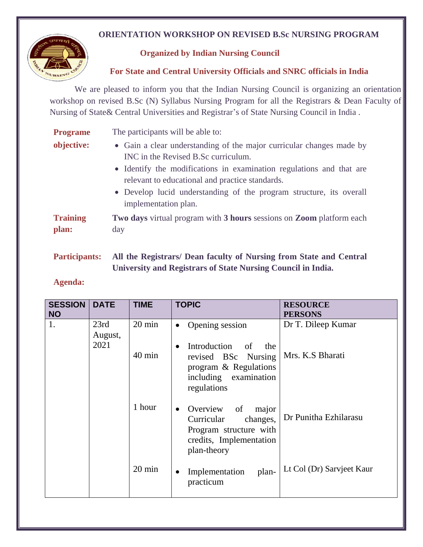## **ORIENTATION WORKSHOP ON REVISED B.Sc NURSING PROGRAM**



## **Organized by Indian Nursing Council**

 **For State and Central University Officials and SNRC officials in India**

We are pleased to inform you that the Indian Nursing Council is organizing an orientation workshop on revised B.Sc (N) Syllabus Nursing Program for all the Registrars & Dean Faculty of Nursing of State& Central Universities and Registrar's of State Nursing Council in India .

| <b>Programe</b>          | The participants will be able to:                                                                                                                                                                                                                                                                                                     |  |  |
|--------------------------|---------------------------------------------------------------------------------------------------------------------------------------------------------------------------------------------------------------------------------------------------------------------------------------------------------------------------------------|--|--|
| objective:               | • Gain a clear understanding of the major curricular changes made by<br>INC in the Revised B.Sc curriculum.<br>• Identify the modifications in examination regulations and that are<br>relevant to educational and practice standards.<br>• Develop lucid understanding of the program structure, its overall<br>implementation plan. |  |  |
| <b>Training</b><br>plan: | Two days virtual program with 3 hours sessions on Zoom platform each<br>day                                                                                                                                                                                                                                                           |  |  |

**Participants: All the Registrars/ Dean faculty of Nursing from State and Central University and Registrars of State Nursing Council in India.**

## **Agenda:**

| <b>SESSION</b><br><b>NO</b> | <b>DATE</b>             | <b>TIME</b>      | <b>TOPIC</b>                                                                                                                                 | <b>RESOURCE</b><br><b>PERSONS</b> |
|-----------------------------|-------------------------|------------------|----------------------------------------------------------------------------------------------------------------------------------------------|-----------------------------------|
| 1.                          | 23rd<br>August,<br>2021 | $20 \text{ min}$ | Opening session<br>$\bullet$                                                                                                                 | Dr T. Dileep Kumar                |
|                             |                         | $40 \text{ min}$ | Introduction<br><sub>of</sub><br>the<br>$\bullet$<br>revised BSc<br>Nursing<br>program & Regulations<br>including examination<br>regulations | Mrs. K.S Bharati                  |
|                             |                         | 1 hour           | Overview<br>- of<br>major<br>$\bullet$<br>Curricular<br>changes,<br>Program structure with<br>credits, Implementation<br>plan-theory         | Dr Punitha Ezhilarasu             |
|                             |                         | $20 \text{ min}$ | Implementation<br>plan-<br>$\bullet$<br>practicum                                                                                            | Lt Col (Dr) Sarvjeet Kaur         |